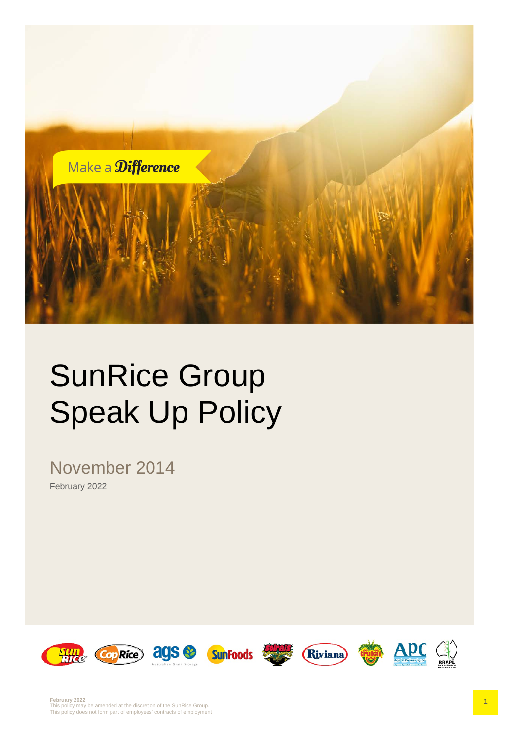

# SunRice Group Speak Up Policy

November 2014 February 2022

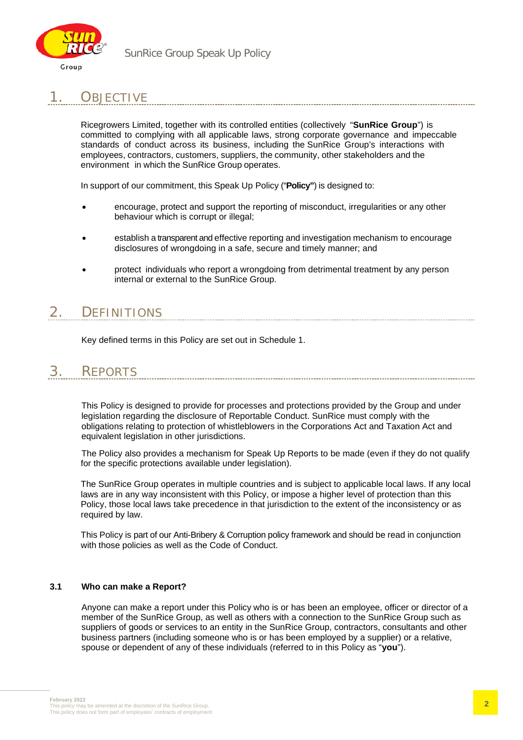

### 1. OBJECTIVE

Ricegrowers Limited, together with its controlled entities (collectively "**SunRice Group**") is committed to complying with all applicable laws, strong corporate governance and impeccable standards of conduct across its business, including the SunRice Group's interactions with employees, contractors, customers, suppliers, the community, other stakeholders and the environment in which the SunRice Group operates.

In support of our commitment, this Speak Up Policy ("**Policy"**) is designed to:

- encourage, protect and support the reporting of misconduct, irregularities or any other behaviour which is corrupt or illegal;
- establish a transparent and effective reporting and investigation mechanism to encourage disclosures of wrongdoing in a safe, secure and timely manner; and
- protect individuals who report a wrongdoing from detrimental treatment by any person internal or external to the SunRice Group.

# 2. DEFINITIONS

Key defined terms in this Policy are set out in Schedule 1.

# 3. REPORTS

This Policy is designed to provide for processes and protections provided by the Group and under legislation regarding the disclosure of Reportable Conduct. SunRice must comply with the obligations relating to protection of whistleblowers in the Corporations Act and Taxation Act and equivalent legislation in other jurisdictions.

--------------------------------------

The Policy also provides a mechanism for Speak Up Reports to be made (even if they do not qualify for the specific protections available under legislation).

The SunRice Group operates in multiple countries and is subject to applicable local laws. If any local laws are in any way inconsistent with this Policy, or impose a higher level of protection than this Policy, those local laws take precedence in that jurisdiction to the extent of the inconsistency or as required by law.

This Policy is part of our Anti-Bribery & Corruption policy framework and should be read in conjunction with those policies as well as the Code of Conduct.

#### **3.1 Who can make a Report?**

Anyone can make a report under this Policy who is or has been an employee, officer or director of a member of the SunRice Group, as well as others with a connection to the SunRice Group such as suppliers of goods or services to an entity in the SunRice Group, contractors, consultants and other business partners (including someone who is or has been employed by a supplier) or a relative, spouse or dependent of any of these individuals (referred to in this Policy as "**you**").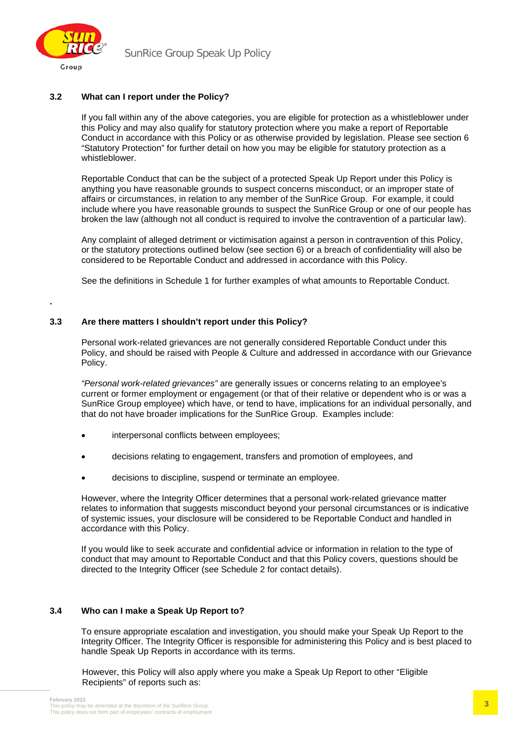

**.**

#### **3.2 What can I report under the Policy?**

If you fall within any of the above categories, you are eligible for protection as a whistleblower under this Policy and may also qualify for statutory protection where you make a report of Reportable Conduct in accordance with this Policy or as otherwise provided by legislation. Please see section 6 "Statutory Protection" for further detail on how you may be eligible for statutory protection as a whistleblower.

Reportable Conduct that can be the subject of a protected Speak Up Report under this Policy is anything you have reasonable grounds to suspect concerns misconduct, or an improper state of affairs or circumstances, in relation to any member of the SunRice Group. For example, it could include where you have reasonable grounds to suspect the SunRice Group or one of our people has broken the law (although not all conduct is required to involve the contravention of a particular law).

Any complaint of alleged detriment or victimisation against a person in contravention of this Policy, or the statutory protections outlined below (see section 6) or a breach of confidentiality will also be considered to be Reportable Conduct and addressed in accordance with this Policy.

See the definitions in Schedule 1 for further examples of what amounts to Reportable Conduct.

#### **3.3 Are there matters I shouldn't report under this Policy?**

Personal work-related grievances are not generally considered Reportable Conduct under this Policy, and should be raised with People & Culture and addressed in accordance with our Grievance Policy.

*"Personal work-related grievances"* are generally issues or concerns relating to an employee's current or former employment or engagement (or that of their relative or dependent who is or was a SunRice Group employee) which have, or tend to have, implications for an individual personally, and that do not have broader implications for the SunRice Group. Examples include:

- interpersonal conflicts between employees;
- decisions relating to engagement, transfers and promotion of employees, and
- decisions to discipline, suspend or terminate an employee.

However, where the Integrity Officer determines that a personal work-related grievance matter relates to information that suggests misconduct beyond your personal circumstances or is indicative of systemic issues, your disclosure will be considered to be Reportable Conduct and handled in accordance with this Policy.

If you would like to seek accurate and confidential advice or information in relation to the type of conduct that may amount to Reportable Conduct and that this Policy covers, questions should be directed to the Integrity Officer (see Schedule 2 for contact details).

#### **3.4 Who can I make a Speak Up Report to?**

To ensure appropriate escalation and investigation, you should make your Speak Up Report to the Integrity Officer. The Integrity Officer is responsible for administering this Policy and is best placed to handle Speak Up Reports in accordance with its terms.

However, this Policy will also apply where you make a Speak Up Report to other "Eligible Recipients" of reports such as: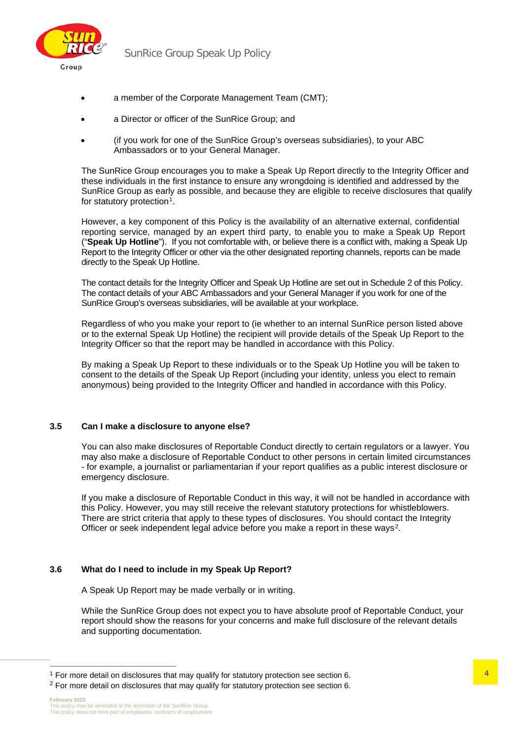

- a member of the Corporate Management Team (CMT);
- a Director or officer of the SunRice Group; and
- (if you work for one of the SunRice Group's overseas subsidiaries), to your ABC Ambassadors or to your General Manager.

The SunRice Group encourages you to make a Speak Up Report directly to the Integrity Officer and these individuals in the first instance to ensure any wrongdoing is identified and addressed by the SunRice Group as early as possible, and because they are eligible to receive disclosures that qualify for statutory protection<sup>[1](#page-3-0)</sup>.

However, a key component of this Policy is the availability of an alternative external, confidential reporting service, managed by an expert third party, to enable you to make a Speak Up Report ("**Speak Up Hotline**"). If you not comfortable with, or believe there is a conflict with, making a Speak Up Report to the Integrity Officer or other via the other designated reporting channels, reports can be made directly to the Speak Up Hotline.

The contact details for the Integrity Officer and Speak Up Hotline are set out in Schedule 2 of this Policy. The contact details of your ABC Ambassadors and your General Manager if you work for one of the SunRice Group's overseas subsidiaries, will be available at your workplace.

Regardless of who you make your report to (ie whether to an internal SunRice person listed above or to the external Speak Up Hotline) the recipient will provide details of the Speak Up Report to the Integrity Officer so that the report may be handled in accordance with this Policy.

By making a Speak Up Report to these individuals or to the Speak Up Hotline you will be taken to consent to the details of the Speak Up Report (including your identity, unless you elect to remain anonymous) being provided to the Integrity Officer and handled in accordance with this Policy.

#### **3.5 Can I make a disclosure to anyone else?**

You can also make disclosures of Reportable Conduct directly to certain regulators or a lawyer. You may also make a disclosure of Reportable Conduct to other persons in certain limited circumstances - for example, a journalist or parliamentarian if your report qualifies as a public interest disclosure or emergency disclosure.

If you make a disclosure of Reportable Conduct in this way, it will not be handled in accordance with this Policy. However, you may still receive the relevant statutory protections for whistleblowers. There are strict criteria that apply to these types of disclosures. You should contact the Integrity Officer or seek independent legal advice before you make a report in these ways<sup>[2](#page-3-1)</sup>.

#### **3.6 What do I need to include in my Speak Up Report?**

A Speak Up Report may be made verbally or in writing.

While the SunRice Group does not expect you to have absolute proof of Reportable Conduct, your report should show the reasons for your concerns and make full disclosure of the relevant details and supporting documentation.

<span id="page-3-0"></span><sup>&</sup>lt;sup>1</sup> For more detail on disclosures that may qualify for statutory protection see section 6.

<span id="page-3-1"></span><sup>&</sup>lt;sup>2</sup> For more detail on disclosures that may qualify for statutory protection see section 6.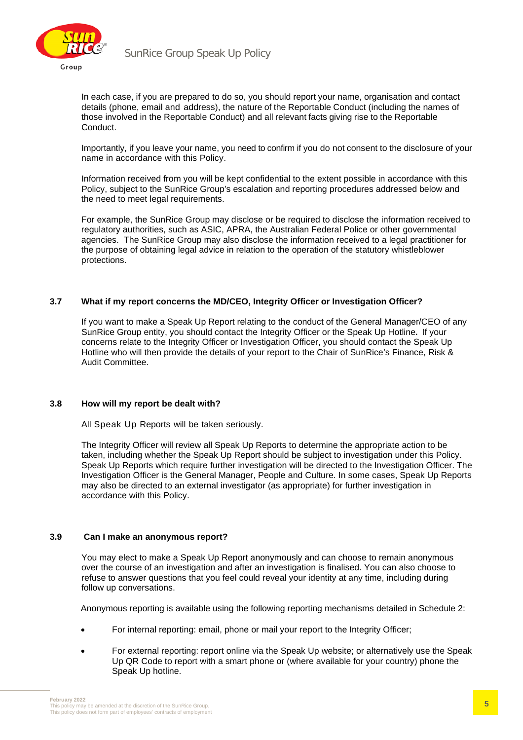

In each case, if you are prepared to do so, you should report your name, organisation and contact details (phone, email and address), the nature of the Reportable Conduct (including the names of those involved in the Reportable Conduct) and all relevant facts giving rise to the Reportable Conduct.

Importantly, if you leave your name, you need to confirm if you do not consent to the disclosure of your name in accordance with this Policy.

Information received from you will be kept confidential to the extent possible in accordance with this Policy, subject to the SunRice Group's escalation and reporting procedures addressed below and the need to meet legal requirements.

For example, the SunRice Group may disclose or be required to disclose the information received to regulatory authorities, such as ASIC, APRA, the Australian Federal Police or other governmental agencies. The SunRice Group may also disclose the information received to a legal practitioner for the purpose of obtaining legal advice in relation to the operation of the statutory whistleblower protections.

#### **3.7 What if my report concerns the MD/CEO, Integrity Officer or Investigation Officer?**

If you want to make a Speak Up Report relating to the conduct of the General Manager/CEO of any SunRice Group entity, you should contact the Integrity Officer or the Speak Up Hotline**.** If your concerns relate to the Integrity Officer or Investigation Officer, you should contact the Speak Up Hotline who will then provide the details of your report to the Chair of SunRice's Finance, Risk & Audit Committee.

#### **3.8 How will my report be dealt with?**

All Speak Up Reports will be taken seriously.

The Integrity Officer will review all Speak Up Reports to determine the appropriate action to be taken, including whether the Speak Up Report should be subject to investigation under this Policy. Speak Up Reports which require further investigation will be directed to the Investigation Officer. The Investigation Officer is the General Manager, People and Culture. In some cases, Speak Up Reports may also be directed to an external investigator (as appropriate) for further investigation in accordance with this Policy.

#### **3.9 Can I make an anonymous report?**

You may elect to make a Speak Up Report anonymously and can choose to remain anonymous over the course of an investigation and after an investigation is finalised. You can also choose to refuse to answer questions that you feel could reveal your identity at any time, including during follow up conversations.

Anonymous reporting is available using the following reporting mechanisms detailed in Schedule 2:

- For internal reporting: email, phone or mail your report to the Integrity Officer;
- For external reporting: report online via the Speak Up website; or alternatively use the Speak Up QR Code to report with a smart phone or (where available for your country) phone the Speak Up hotline.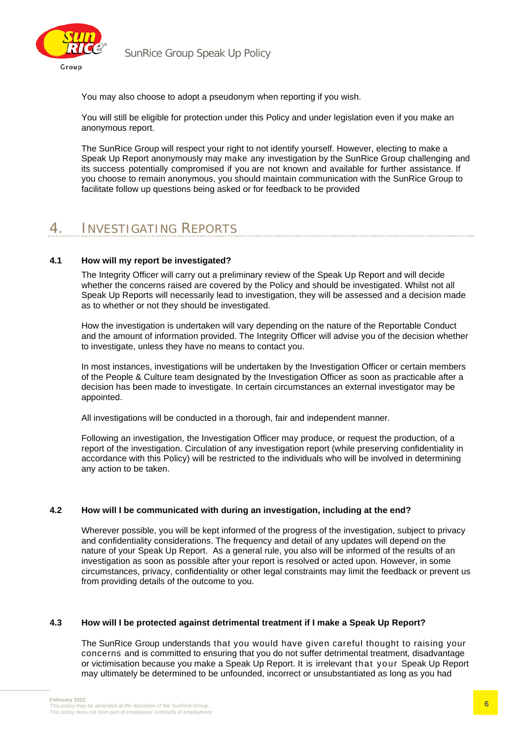

You may also choose to adopt a pseudonym when reporting if you wish.

You will still be eligible for protection under this Policy and under legislation even if you make an anonymous report.

The SunRice Group will respect your right to not identify yourself. However, electing to make a Speak Up Report anonymously may make any investigation by the SunRice Group challenging and its success potentially compromised if you are not known and available for further assistance. If you choose to remain anonymous, you should maintain communication with the SunRice Group to facilitate follow up questions being asked or for feedback to be provided

### 4. INVESTIGATING REPORTS

#### **4.1 How will my report be investigated?**

The Integrity Officer will carry out a preliminary review of the Speak Up Report and will decide whether the concerns raised are covered by the Policy and should be investigated. Whilst not all Speak Up Reports will necessarily lead to investigation, they will be assessed and a decision made as to whether or not they should be investigated.

How the investigation is undertaken will vary depending on the nature of the Reportable Conduct and the amount of information provided. The Integrity Officer will advise you of the decision whether to investigate, unless they have no means to contact you.

In most instances, investigations will be undertaken by the Investigation Officer or certain members of the People & Culture team designated by the Investigation Officer as soon as practicable after a decision has been made to investigate. In certain circumstances an external investigator may be appointed.

All investigations will be conducted in a thorough, fair and independent manner.

Following an investigation, the Investigation Officer may produce, or request the production, of a report of the investigation. Circulation of any investigation report (while preserving confidentiality in accordance with this Policy) will be restricted to the individuals who will be involved in determining any action to be taken.

#### **4.2 How will I be communicated with during an investigation, including at the end?**

Wherever possible, you will be kept informed of the progress of the investigation, subject to privacy and confidentiality considerations. The frequency and detail of any updates will depend on the nature of your Speak Up Report. As a general rule, you also will be informed of the results of an investigation as soon as possible after your report is resolved or acted upon. However, in some circumstances, privacy, confidentiality or other legal constraints may limit the feedback or prevent us from providing details of the outcome to you.

#### **4.3 How will I be protected against detrimental treatment if I make a Speak Up Report?**

The SunRice Group understands that you would have given careful thought to raising your concerns and is committed to ensuring that you do not suffer detrimental treatment, disadvantage or victimisation because you make a Speak Up Report. It is irrelevant that your Speak Up Report may ultimately be determined to be unfounded, incorrect or unsubstantiated as long as you had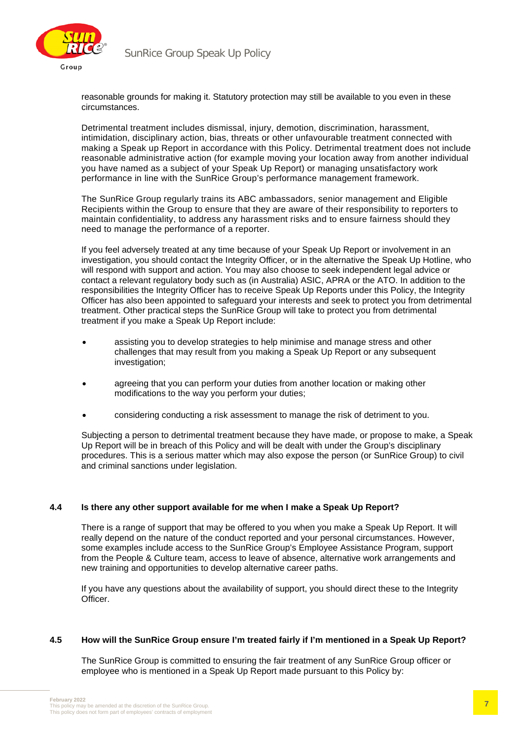

reasonable grounds for making it. Statutory protection may still be available to you even in these circumstances.

Detrimental treatment includes dismissal, injury, demotion, discrimination, harassment, intimidation, disciplinary action, bias, threats or other unfavourable treatment connected with making a Speak up Report in accordance with this Policy. Detrimental treatment does not include reasonable administrative action (for example moving your location away from another individual you have named as a subject of your Speak Up Report) or managing unsatisfactory work performance in line with the SunRice Group's performance management framework.

The SunRice Group regularly trains its ABC ambassadors, senior management and Eligible Recipients within the Group to ensure that they are aware of their responsibility to reporters to maintain confidentiality, to address any harassment risks and to ensure fairness should they need to manage the performance of a reporter.

If you feel adversely treated at any time because of your Speak Up Report or involvement in an investigation, you should contact the Integrity Officer, or in the alternative the Speak Up Hotline, who will respond with support and action. You may also choose to seek independent legal advice or contact a relevant regulatory body such as (in Australia) ASIC, APRA or the ATO. In addition to the responsibilities the Integrity Officer has to receive Speak Up Reports under this Policy, the Integrity Officer has also been appointed to safeguard your interests and seek to protect you from detrimental treatment. Other practical steps the SunRice Group will take to protect you from detrimental treatment if you make a Speak Up Report include:

- assisting you to develop strategies to help minimise and manage stress and other challenges that may result from you making a Speak Up Report or any subsequent investigation:
- agreeing that you can perform your duties from another location or making other modifications to the way you perform your duties;
- considering conducting a risk assessment to manage the risk of detriment to you.

Subjecting a person to detrimental treatment because they have made, or propose to make, a Speak Up Report will be in breach of this Policy and will be dealt with under the Group's disciplinary procedures. This is a serious matter which may also expose the person (or SunRice Group) to civil and criminal sanctions under legislation.

#### **4.4 Is there any other support available for me when I make a Speak Up Report?**

There is a range of support that may be offered to you when you make a Speak Up Report. It will really depend on the nature of the conduct reported and your personal circumstances. However, some examples include access to the SunRice Group's Employee Assistance Program, support from the People & Culture team, access to leave of absence, alternative work arrangements and new training and opportunities to develop alternative career paths.

If you have any questions about the availability of support, you should direct these to the Integrity Officer.

#### **4.5 How will the SunRice Group ensure I'm treated fairly if I'm mentioned in a Speak Up Report?**

The SunRice Group is committed to ensuring the fair treatment of any SunRice Group officer or employee who is mentioned in a Speak Up Report made pursuant to this Policy by: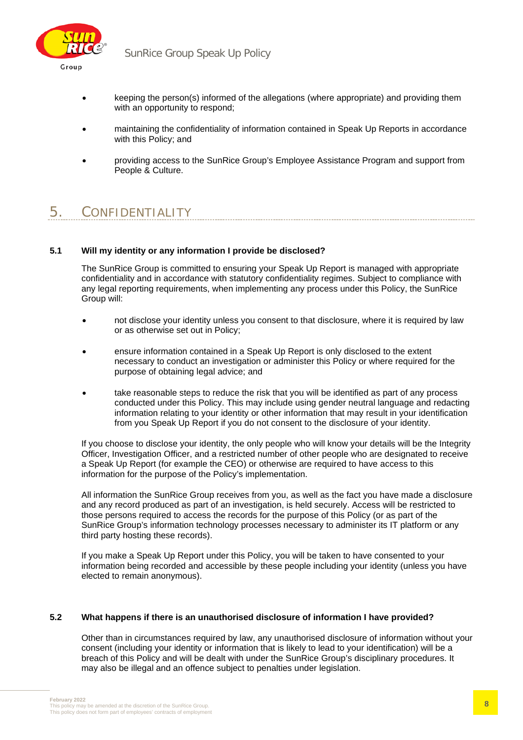

- keeping the person(s) informed of the allegations (where appropriate) and providing them with an opportunity to respond;
- maintaining the confidentiality of information contained in Speak Up Reports in accordance with this Policy; and
- providing access to the SunRice Group's Employee Assistance Program and support from People & Culture.

# 5. CONFIDENTIALITY

#### **5.1 Will my identity or any information I provide be disclosed?**

The SunRice Group is committed to ensuring your Speak Up Report is managed with appropriate confidentiality and in accordance with statutory confidentiality regimes. Subject to compliance with any legal reporting requirements, when implementing any process under this Policy, the SunRice Group will:

- not disclose your identity unless you consent to that disclosure, where it is required by law or as otherwise set out in Policy;
- ensure information contained in a Speak Up Report is only disclosed to the extent necessary to conduct an investigation or administer this Policy or where required for the purpose of obtaining legal advice; and
- take reasonable steps to reduce the risk that you will be identified as part of any process conducted under this Policy. This may include using gender neutral language and redacting information relating to your identity or other information that may result in your identification from you Speak Up Report if you do not consent to the disclosure of your identity.

If you choose to disclose your identity, the only people who will know your details will be the Integrity Officer, Investigation Officer, and a restricted number of other people who are designated to receive a Speak Up Report (for example the CEO) or otherwise are required to have access to this information for the purpose of the Policy's implementation.

All information the SunRice Group receives from you, as well as the fact you have made a disclosure and any record produced as part of an investigation, is held securely. Access will be restricted to those persons required to access the records for the purpose of this Policy (or as part of the SunRice Group's information technology processes necessary to administer its IT platform or any third party hosting these records).

If you make a Speak Up Report under this Policy, you will be taken to have consented to your information being recorded and accessible by these people including your identity (unless you have elected to remain anonymous).

#### **5.2 What happens if there is an unauthorised disclosure of information I have provided?**

Other than in circumstances required by law, any unauthorised disclosure of information without your consent (including your identity or information that is likely to lead to your identification) will be a breach of this Policy and will be dealt with under the SunRice Group's disciplinary procedures. It may also be illegal and an offence subject to penalties under legislation.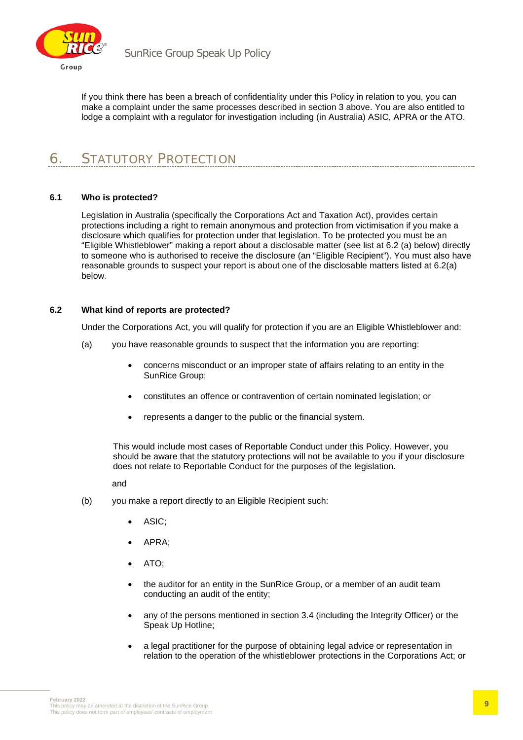

If you think there has been a breach of confidentiality under this Policy in relation to you, you can make a complaint under the same processes described in section 3 above. You are also entitled to lodge a complaint with a regulator for investigation including (in Australia) ASIC, APRA or the ATO.

## 6. STATUTORY PROTECTION

#### **6.1 Who is protected?**

Legislation in Australia (specifically the Corporations Act and Taxation Act), provides certain protections including a right to remain anonymous and protection from victimisation if you make a disclosure which qualifies for protection under that legislation. To be protected you must be an "Eligible Whistleblower" making a report about a disclosable matter (see list at 6.2 (a) below) directly to someone who is authorised to receive the disclosure (an "Eligible Recipient"). You must also have reasonable grounds to suspect your report is about one of the disclosable matters listed at 6.2(a) below.

#### **6.2 What kind of reports are protected?**

Under the Corporations Act, you will qualify for protection if you are an Eligible Whistleblower and:

- (a) you have reasonable grounds to suspect that the information you are reporting:
	- concerns misconduct or an improper state of affairs relating to an entity in the SunRice Group;
	- constitutes an offence or contravention of certain nominated legislation; or
	- represents a danger to the public or the financial system.

This would include most cases of Reportable Conduct under this Policy. However, you should be aware that the statutory protections will not be available to you if your disclosure does not relate to Reportable Conduct for the purposes of the legislation.

and

- (b) you make a report directly to an Eligible Recipient such:
	- ASIC;
	- APRA;
	- ATO;
	- the auditor for an entity in the SunRice Group, or a member of an audit team conducting an audit of the entity;
	- any of the persons mentioned in section 3.4 (including the Integrity Officer) or the Speak Up Hotline;
	- a legal practitioner for the purpose of obtaining legal advice or representation in relation to the operation of the whistleblower protections in the Corporations Act; or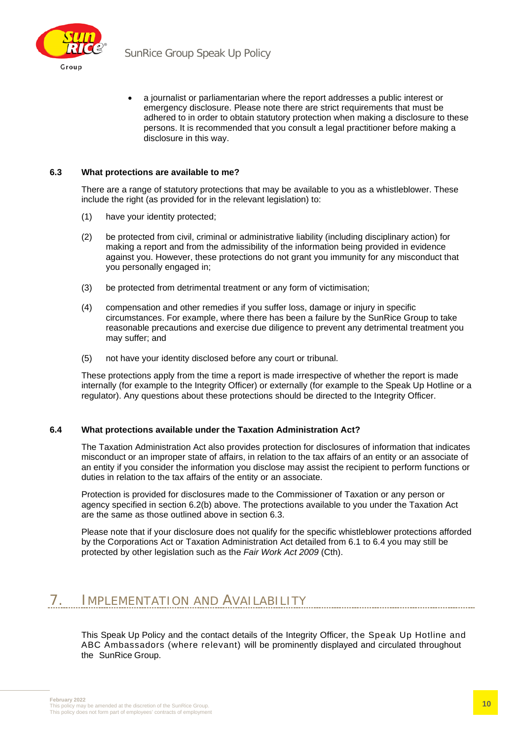

• a journalist or parliamentarian where the report addresses a public interest or emergency disclosure. Please note there are strict requirements that must be adhered to in order to obtain statutory protection when making a disclosure to these persons. It is recommended that you consult a legal practitioner before making a disclosure in this way.

#### **6.3 What protections are available to me?**

There are a range of statutory protections that may be available to you as a whistleblower. These include the right (as provided for in the relevant legislation) to:

- (1) have your identity protected;
- (2) be protected from civil, criminal or administrative liability (including disciplinary action) for making a report and from the admissibility of the information being provided in evidence against you. However, these protections do not grant you immunity for any misconduct that you personally engaged in;
- (3) be protected from detrimental treatment or any form of victimisation;
- (4) compensation and other remedies if you suffer loss, damage or injury in specific circumstances. For example, where there has been a failure by the SunRice Group to take reasonable precautions and exercise due diligence to prevent any detrimental treatment you may suffer; and
- (5) not have your identity disclosed before any court or tribunal.

These protections apply from the time a report is made irrespective of whether the report is made internally (for example to the Integrity Officer) or externally (for example to the Speak Up Hotline or a regulator). Any questions about these protections should be directed to the Integrity Officer.

#### **6.4 What protections available under the Taxation Administration Act?**

The Taxation Administration Act also provides protection for disclosures of information that indicates misconduct or an improper state of affairs, in relation to the tax affairs of an entity or an associate of an entity if you consider the information you disclose may assist the recipient to perform functions or duties in relation to the tax affairs of the entity or an associate.

Protection is provided for disclosures made to the Commissioner of Taxation or any person or agency specified in section 6.2(b) above. The protections available to you under the Taxation Act are the same as those outlined above in section 6.3.

Please note that if your disclosure does not qualify for the specific whistleblower protections afforded by the Corporations Act or Taxation Administration Act detailed from 6.1 to 6.4 you may still be protected by other legislation such as the *Fair Work Act 2009* (Cth).

### 7. IMPLEMENTATION AND AVAILABILITY

This Speak Up Policy and the contact details of the Integrity Officer, the Speak Up Hotline and ABC Ambassadors (where relevant) will be prominently displayed and circulated throughout the SunRice Group.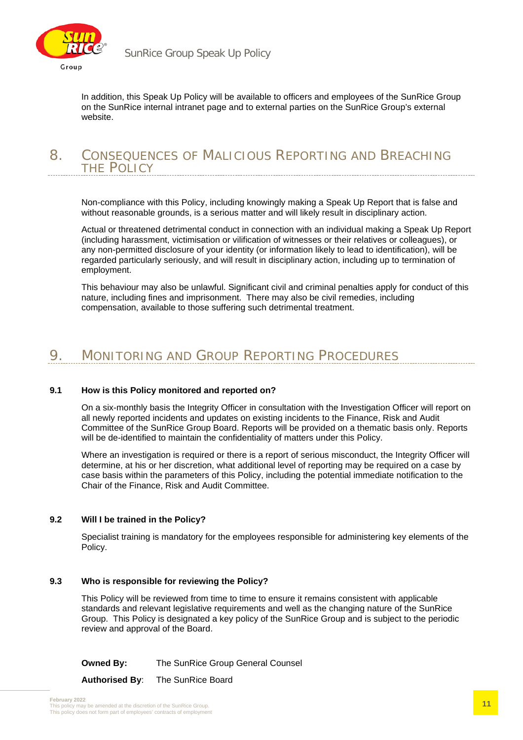

In addition, this Speak Up Policy will be available to officers and employees of the SunRice Group on the SunRice internal intranet page and to external parties on the SunRice Group's external website.

#### 8. CONSEQUENCES OF MALICIOUS REPORTING AND BREACHING THE POLICY

Non-compliance with this Policy, including knowingly making a Speak Up Report that is false and without reasonable grounds, is a serious matter and will likely result in disciplinary action.

Actual or threatened detrimental conduct in connection with an individual making a Speak Up Report (including harassment, victimisation or vilification of witnesses or their relatives or colleagues), or any non-permitted disclosure of your identity (or information likely to lead to identification), will be regarded particularly seriously, and will result in disciplinary action, including up to termination of employment.

This behaviour may also be unlawful. Significant civil and criminal penalties apply for conduct of this nature, including fines and imprisonment. There may also be civil remedies, including compensation, available to those suffering such detrimental treatment.

### 9. MONITORING AND GROUP REPORTING PROCEDURES

#### **9.1 How is this Policy monitored and reported on?**

On a six-monthly basis the Integrity Officer in consultation with the Investigation Officer will report on all newly reported incidents and updates on existing incidents to the Finance, Risk and Audit Committee of the SunRice Group Board. Reports will be provided on a thematic basis only. Reports will be de-identified to maintain the confidentiality of matters under this Policy.

Where an investigation is required or there is a report of serious misconduct, the Integrity Officer will determine, at his or her discretion, what additional level of reporting may be required on a case by case basis within the parameters of this Policy, including the potential immediate notification to the Chair of the Finance, Risk and Audit Committee.

#### **9.2 Will I be trained in the Policy?**

Specialist training is mandatory for the employees responsible for administering key elements of the Policy.

#### **9.3 Who is responsible for reviewing the Policy?**

This Policy will be reviewed from time to time to ensure it remains consistent with applicable standards and relevant legislative requirements and well as the changing nature of the SunRice Group. This Policy is designated a key policy of the SunRice Group and is subject to the periodic review and approval of the Board.

**Owned By:** The SunRice Group General Counsel

**Authorised By**: The SunRice Board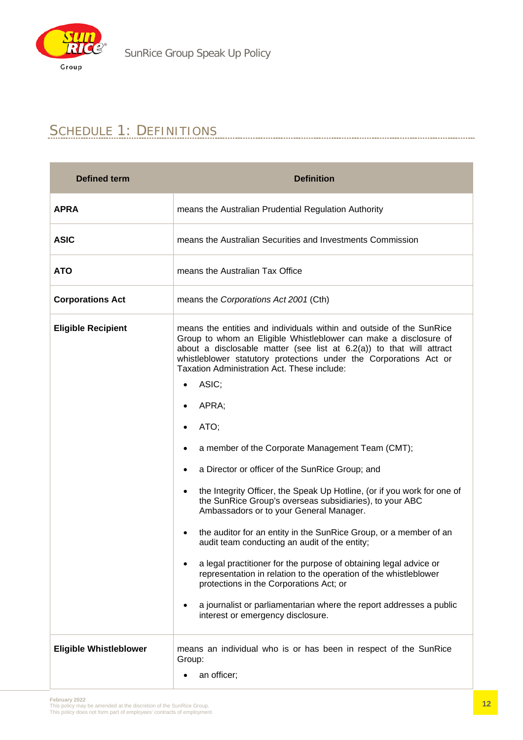

# SCHEDULE 1: DEFINITIONS

| <b>Defined term</b>           | <b>Definition</b>                                                                                                                                                                                                                                                                                                                       |  |  |  |  |
|-------------------------------|-----------------------------------------------------------------------------------------------------------------------------------------------------------------------------------------------------------------------------------------------------------------------------------------------------------------------------------------|--|--|--|--|
| <b>APRA</b>                   | means the Australian Prudential Regulation Authority                                                                                                                                                                                                                                                                                    |  |  |  |  |
| <b>ASIC</b>                   | means the Australian Securities and Investments Commission                                                                                                                                                                                                                                                                              |  |  |  |  |
| <b>ATO</b>                    | means the Australian Tax Office                                                                                                                                                                                                                                                                                                         |  |  |  |  |
| <b>Corporations Act</b>       | means the Corporations Act 2001 (Cth)                                                                                                                                                                                                                                                                                                   |  |  |  |  |
| <b>Eligible Recipient</b>     | means the entities and individuals within and outside of the SunRice<br>Group to whom an Eligible Whistleblower can make a disclosure of<br>about a disclosable matter (see list at $6.2(a)$ ) to that will attract<br>whistleblower statutory protections under the Corporations Act or<br>Taxation Administration Act. These include: |  |  |  |  |
|                               | ASIC;                                                                                                                                                                                                                                                                                                                                   |  |  |  |  |
|                               | APRA;                                                                                                                                                                                                                                                                                                                                   |  |  |  |  |
|                               | ATO;                                                                                                                                                                                                                                                                                                                                    |  |  |  |  |
|                               | a member of the Corporate Management Team (CMT);                                                                                                                                                                                                                                                                                        |  |  |  |  |
|                               | a Director or officer of the SunRice Group; and                                                                                                                                                                                                                                                                                         |  |  |  |  |
|                               | the Integrity Officer, the Speak Up Hotline, (or if you work for one of<br>the SunRice Group's overseas subsidiaries), to your ABC<br>Ambassadors or to your General Manager.                                                                                                                                                           |  |  |  |  |
|                               | the auditor for an entity in the SunRice Group, or a member of an<br>$\bullet$<br>audit team conducting an audit of the entity;                                                                                                                                                                                                         |  |  |  |  |
|                               | a legal practitioner for the purpose of obtaining legal advice or<br>representation in relation to the operation of the whistleblower<br>protections in the Corporations Act; or                                                                                                                                                        |  |  |  |  |
|                               | a journalist or parliamentarian where the report addresses a public<br>interest or emergency disclosure.                                                                                                                                                                                                                                |  |  |  |  |
| <b>Eligible Whistleblower</b> | means an individual who is or has been in respect of the SunRice<br>Group:<br>an officer;                                                                                                                                                                                                                                               |  |  |  |  |
|                               |                                                                                                                                                                                                                                                                                                                                         |  |  |  |  |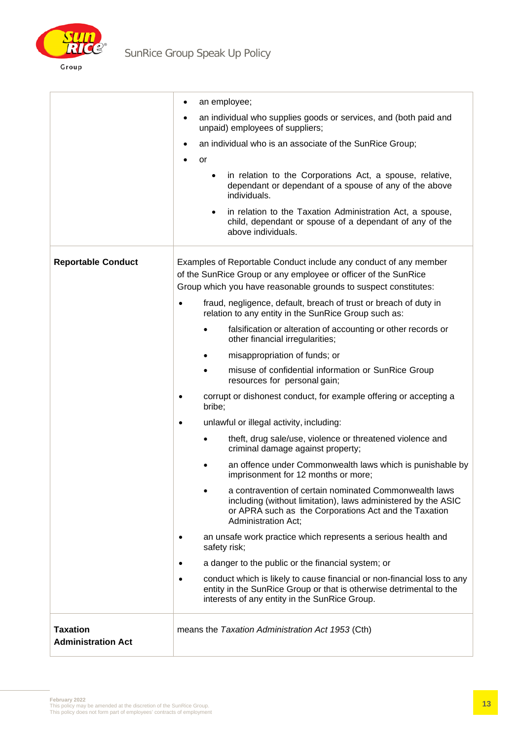

|                                              | an employee;<br>$\bullet$                                                                                                                                                                                      |  |  |  |
|----------------------------------------------|----------------------------------------------------------------------------------------------------------------------------------------------------------------------------------------------------------------|--|--|--|
|                                              | an individual who supplies goods or services, and (both paid and<br>unpaid) employees of suppliers;                                                                                                            |  |  |  |
|                                              | an individual who is an associate of the SunRice Group;<br>$\bullet$                                                                                                                                           |  |  |  |
|                                              | or                                                                                                                                                                                                             |  |  |  |
|                                              | in relation to the Corporations Act, a spouse, relative,<br>$\bullet$<br>dependant or dependant of a spouse of any of the above<br>individuals.                                                                |  |  |  |
|                                              | in relation to the Taxation Administration Act, a spouse,<br>child, dependant or spouse of a dependant of any of the<br>above individuals.                                                                     |  |  |  |
| <b>Reportable Conduct</b>                    | Examples of Reportable Conduct include any conduct of any member<br>of the SunRice Group or any employee or officer of the SunRice<br>Group which you have reasonable grounds to suspect constitutes:          |  |  |  |
|                                              | fraud, negligence, default, breach of trust or breach of duty in<br>relation to any entity in the SunRice Group such as:                                                                                       |  |  |  |
|                                              | falsification or alteration of accounting or other records or<br>other financial irregularities;                                                                                                               |  |  |  |
|                                              | misappropriation of funds; or                                                                                                                                                                                  |  |  |  |
|                                              | misuse of confidential information or SunRice Group<br>resources for personal gain;                                                                                                                            |  |  |  |
|                                              | corrupt or dishonest conduct, for example offering or accepting a<br>bribe;                                                                                                                                    |  |  |  |
|                                              | unlawful or illegal activity, including:                                                                                                                                                                       |  |  |  |
|                                              | theft, drug sale/use, violence or threatened violence and<br>criminal damage against property;                                                                                                                 |  |  |  |
|                                              | an offence under Commonwealth laws which is punishable by<br>imprisonment for 12 months or more;                                                                                                               |  |  |  |
|                                              | a contravention of certain nominated Commonwealth laws<br>including (without limitation), laws administered by the ASIC<br>or APRA such as the Corporations Act and the Taxation<br><b>Administration Act;</b> |  |  |  |
|                                              | an unsafe work practice which represents a serious health and<br>safety risk;                                                                                                                                  |  |  |  |
|                                              | a danger to the public or the financial system; or                                                                                                                                                             |  |  |  |
|                                              | conduct which is likely to cause financial or non-financial loss to any<br>entity in the SunRice Group or that is otherwise detrimental to the<br>interests of any entity in the SunRice Group.                |  |  |  |
| <b>Taxation</b><br><b>Administration Act</b> | means the Taxation Administration Act 1953 (Cth)                                                                                                                                                               |  |  |  |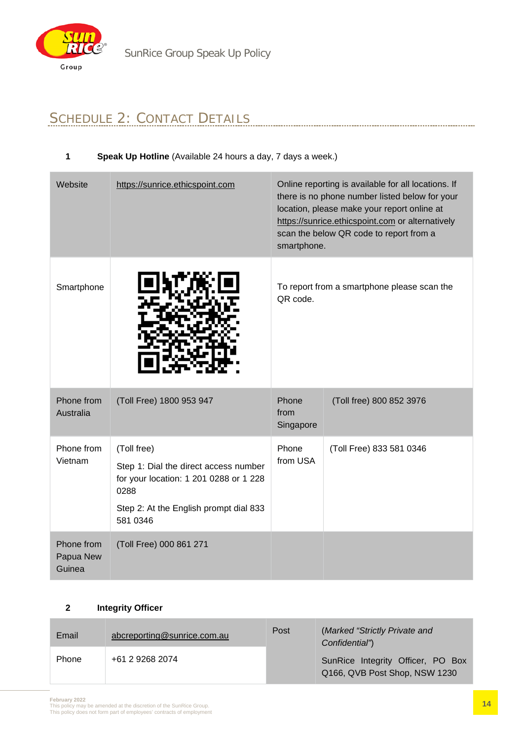

# SCHEDULE 2: CONTACT DETAILS

#### **1 Speak Up Hotline** (Available 24 hours a day, 7 days a week.)

| Website                           | https://sunrice.ethicspoint.com                                                         | Online reporting is available for all locations. If<br>there is no phone number listed below for your<br>location, please make your report online at<br>https://sunrice.ethicspoint.com or alternatively<br>scan the below QR code to report from a<br>smartphone. |                          |
|-----------------------------------|-----------------------------------------------------------------------------------------|--------------------------------------------------------------------------------------------------------------------------------------------------------------------------------------------------------------------------------------------------------------------|--------------------------|
| Smartphone                        |                                                                                         | To report from a smartphone please scan the<br>QR code.                                                                                                                                                                                                            |                          |
| Phone from<br>Australia           | (Toll Free) 1800 953 947                                                                | Phone<br>from<br>Singapore                                                                                                                                                                                                                                         | (Toll free) 800 852 3976 |
| Phone from<br>Vietnam             | (Toll free)                                                                             | Phone                                                                                                                                                                                                                                                              | (Toll Free) 833 581 0346 |
|                                   | Step 1: Dial the direct access number<br>for your location: 1 201 0288 or 1 228<br>0288 | from USA                                                                                                                                                                                                                                                           |                          |
|                                   | Step 2: At the English prompt dial 833<br>581 0346                                      |                                                                                                                                                                                                                                                                    |                          |
| Phone from<br>Papua New<br>Guinea | (Toll Free) 000 861 271                                                                 |                                                                                                                                                                                                                                                                    |                          |

#### **2 Integrity Officer**

| Email        | abcreporting@sunrice.com.au | Post | (Marked "Strictly Private and<br>Confidential")                    |  |
|--------------|-----------------------------|------|--------------------------------------------------------------------|--|
| <b>Phone</b> | +61 2 9268 2074             |      | SunRice Integrity Officer, PO Box<br>Q166, QVB Post Shop, NSW 1230 |  |

**February 2022**<br>This policy may be amended at the discretion of the SunRice Group.<br>This policy does not form part of employees' contracts of employment